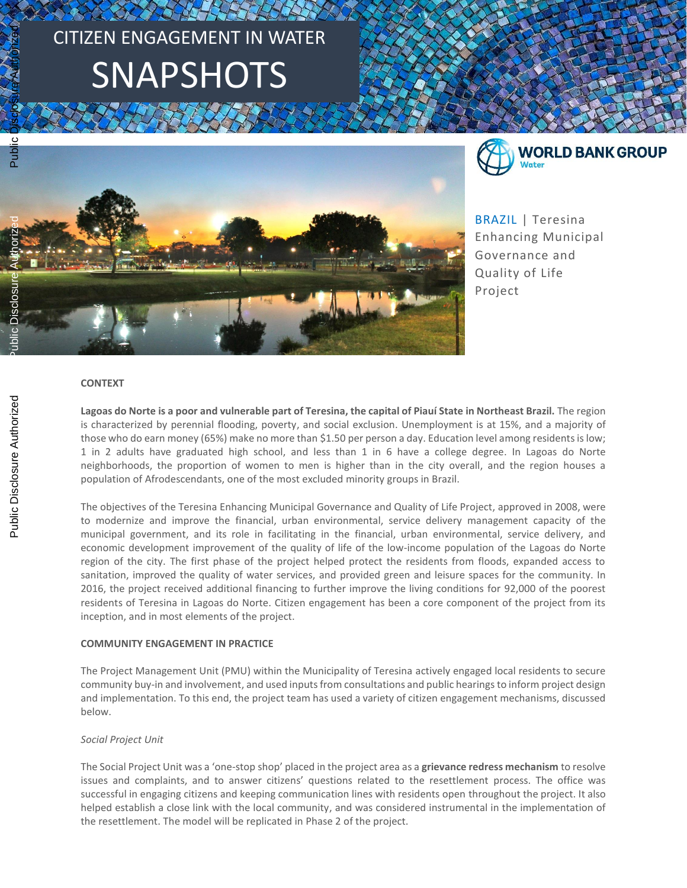# CITIZEN ENGAGEMENT IN WATER SNAPSHOTS



**WORLD BANK GROUP** Water

BRAZIL | Teresina Enhancing Municipal Governance and Quality of Life Project

### **CONTEXT**

**Lagoas do Norte is a poor and vulnerable part of Teresina, the capital of Piauí State in Northeast Brazil.** The region is characterized by perennial flooding, poverty, and social exclusion. Unemployment is at 15%, and a majority of those who do earn money (65%) make no more than \$1.50 per person a day. Education level among residents is low; 1 in 2 adults have graduated high school, and less than 1 in 6 have a college degree. In Lagoas do Norte neighborhoods, the proportion of women to men is higher than in the city overall, and the region houses a population of Afrodescendants, one of the most excluded minority groups in Brazil.

The objectives of the Teresina Enhancing Municipal Governance and Quality of Life Project, approved in 2008, were to modernize and improve the financial, urban environmental, service delivery management capacity of the municipal government, and its role in facilitating in the financial, urban environmental, service delivery, and economic development improvement of the quality of life of the low-income population of the Lagoas do Norte region of the city. The first phase of the project helped protect the residents from floods, expanded access to sanitation, improved the quality of water services, and provided green and leisure spaces for the community. In 2016, the project received additional financing to further improve the living conditions for 92,000 of the poorest residents of Teresina in Lagoas do Norte. Citizen engagement has been a core component of the project from its inception, and in most elements of the project.

## **COMMUNITY ENGAGEMENT IN PRACTICE**

The Project Management Unit (PMU) within the Municipality of Teresina actively engaged local residents to secure community buy-in and involvement, and used inputs from consultations and public hearings to inform project design and implementation. To this end, the project team has used a variety of citizen engagement mechanisms, discussed below.

### *Social Project Unit*

The Social Project Unit was a 'one-stop shop' placed in the project area as a **grievance redress mechanism** to resolve issues and complaints, and to answer citizens' questions related to the resettlement process. The office was successful in engaging citizens and keeping communication lines with residents open throughout the project. It also helped establish a close link with the local community, and was considered instrumental in the implementation of the resettlement. The model will be replicated in Phase 2 of the project.

 $\circ$ Publi